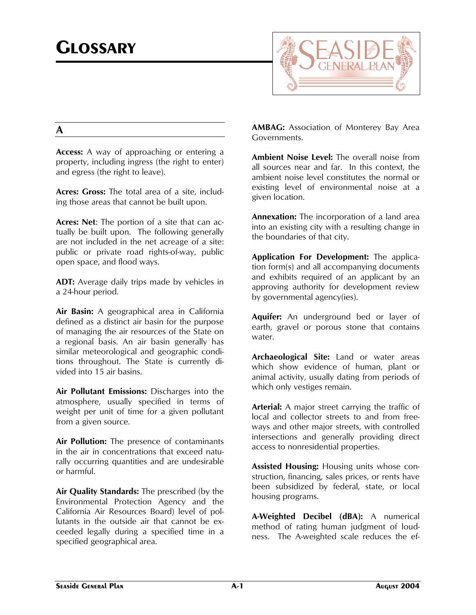

## **A**

**Access:** A way of approaching or entering a property, including ingress (the right to enter) and egress (the right to leave).

**Acres: Gross:** The total area of a site, including those areas that cannot be built upon.

**Acres: Net**: The portion of a site that can actually be built upon. The following generally are not included in the net acreage of a site: public or private road rights-of-way, public open space, and flood ways.

**ADT:** Average daily trips made by vehicles in a 24-hour period.

**Air Basin:** A geographical area in California defined as a distinct air basin for the purpose of managing the air resources of the State on a regional basis. An air basin generally has similar meteorological and geographic conditions throughout. The State is currently divided into 15 air basins.

**Air Pollutant Emissions:** Discharges into the atmosphere, usually specified in terms of weight per unit of time for a given pollutant from a given source.

**Air Pollution:** The presence of contaminants in the air in concentrations that exceed naturally occurring quantities and are undesirable or harmful.

**Air Quality Standards:** The prescribed (by the Environmental Protection Agency and the California Air Resources Board) level of pollutants in the outside air that cannot be exceeded legally during a specified time in a specified geographical area.

**AMBAG:** Association of Monterey Bay Area Governments.

**Ambient Noise Level:** The overall noise from all sources near and far. In this context, the ambient noise level constitutes the normal or existing level of environmental noise at a given location.

**Annexation:** The incorporation of a land area into an existing city with a resulting change in the boundaries of that city.

**Application For Development:** The application form(s) and all accompanying documents and exhibits required of an applicant by an approving authority for development review by governmental agency(ies).

**Aquifer:** An underground bed or layer of earth, gravel or porous stone that contains water.

**Archaeological Site:** Land or water areas which show evidence of human, plant or animal activity, usually dating from periods of which only vestiges remain.

**Arterial:** A major street carrying the traffic of local and collector streets to and from freeways and other major streets, with controlled intersections and generally providing direct access to nonresidential properties.

**Assisted Housing:** Housing units whose construction, financing, sales prices, or rents have been subsidized by federal, state, or local housing programs.

**A-Weighted Decibel (dBA):** A numerical method of rating human judgment of loudness. The A-weighted scale reduces the ef-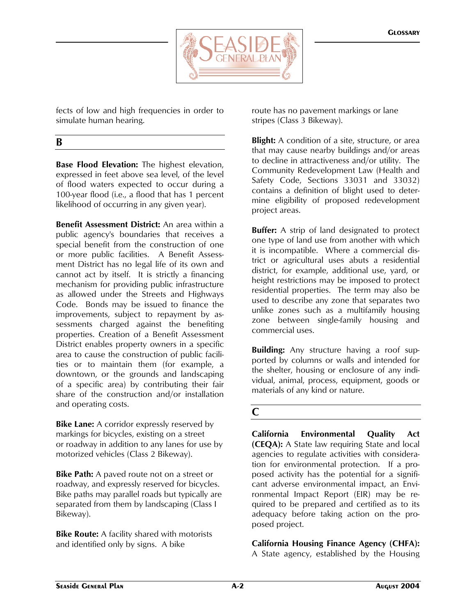

fects of low and high frequencies in order to simulate human hearing.

## **B**

**Base Flood Elevation:** The highest elevation, expressed in feet above sea level, of the level of flood waters expected to occur during a 100-year flood (i.e., a flood that has 1 percent likelihood of occurring in any given year).

**Benefit Assessment District:** An area within a public agency's boundaries that receives a special benefit from the construction of one or more public facilities. A Benefit Assessment District has no legal life of its own and cannot act by itself. It is strictly a financing mechanism for providing public infrastructure as allowed under the Streets and Highways Code. Bonds may be issued to finance the improvements, subject to repayment by assessments charged against the benefiting properties. Creation of a Benefit Assessment District enables property owners in a specific area to cause the construction of public facilities or to maintain them (for example, a downtown, or the grounds and landscaping of a specific area) by contributing their fair share of the construction and/or installation and operating costs.

**Bike Lane:** A corridor expressly reserved by markings for bicycles, existing on a street or roadway in addition to any lanes for use by motorized vehicles (Class 2 Bikeway).

**Bike Path:** A paved route not on a street or roadway, and expressly reserved for bicycles. Bike paths may parallel roads but typically are separated from them by landscaping (Class I Bikeway).

**Bike Route:** A facility shared with motorists and identified only by signs. A bike

route has no pavement markings or lane stripes (Class 3 Bikeway).

**Blight:** A condition of a site, structure, or area that may cause nearby buildings and/or areas to decline in attractiveness and/or utility. The Community Redevelopment Law (Health and Safety Code, Sections 33031 and 33032) contains a definition of blight used to determine eligibility of proposed redevelopment project areas.

**Buffer:** A strip of land designated to protect one type of land use from another with which it is incompatible. Where a commercial district or agricultural uses abuts a residential district, for example, additional use, yard, or height restrictions may be imposed to protect residential properties. The term may also be used to describe any zone that separates two unlike zones such as a multifamily housing zone between single-family housing and commercial uses.

**Building:** Any structure having a roof supported by columns or walls and intended for the shelter, housing or enclosure of any individual, animal, process, equipment, goods or materials of any kind or nature.

### **C**

**California Environmental Quality Act (CEQA):** A State law requiring State and local agencies to regulate activities with consideration for environmental protection. If a proposed activity has the potential for a significant adverse environmental impact, an Environmental Impact Report (EIR) may be required to be prepared and certified as to its adequacy before taking action on the proposed project.

**California Housing Finance Agency (CHFA):** A State agency, established by the Housing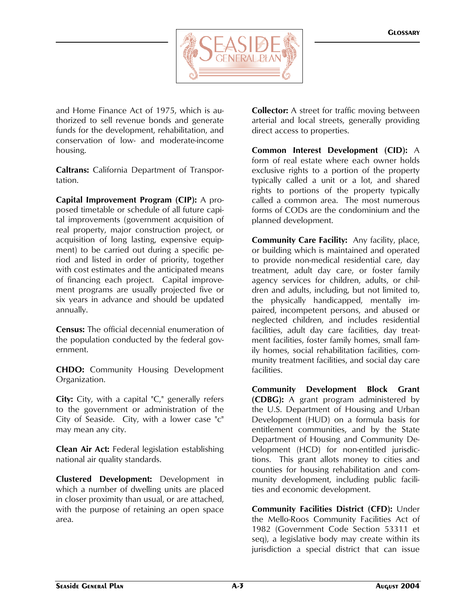

and Home Finance Act of 1975, which is authorized to sell revenue bonds and generate funds for the development, rehabilitation, and conservation of low- and moderate-income housing.

**Caltrans:** California Department of Transportation.

**Capital Improvement Program (CIP):** A proposed timetable or schedule of all future capital improvements (government acquisition of real property, major construction project, or acquisition of long lasting, expensive equipment) to be carried out during a specific period and listed in order of priority, together with cost estimates and the anticipated means of financing each project. Capital improvement programs are usually projected five or six years in advance and should be updated annually.

**Census:** The official decennial enumeration of the population conducted by the federal government.

**CHDO:** Community Housing Development Organization.

**City:** City, with a capital "C," generally refers to the government or administration of the City of Seaside. City, with a lower case "c" may mean any city.

**Clean Air Act:** Federal legislation establishing national air quality standards.

**Clustered Development:** Development in which a number of dwelling units are placed in closer proximity than usual, or are attached, with the purpose of retaining an open space area.

**Collector:** A street for traffic moving between arterial and local streets, generally providing direct access to properties.

**Common Interest Development (CID):** A form of real estate where each owner holds exclusive rights to a portion of the property typically called a unit or a lot, and shared rights to portions of the property typically called a common area. The most numerous forms of CODs are the condominium and the planned development.

**Community Care Facility:** Any facility, place, or building which is maintained and operated to provide non-medical residential care, day treatment, adult day care, or foster family agency services for children, adults, or children and adults, including, but not limited to, the physically handicapped, mentally impaired, incompetent persons, and abused or neglected children, and includes residential facilities, adult day care facilities, day treatment facilities, foster family homes, small family homes, social rehabilitation facilities, community treatment facilities, and social day care facilities.

**Community Development Block Grant (CDBG):** A grant program administered by the U.S. Department of Housing and Urban Development (HUD) on a formula basis for entitlement communities, and by the State Department of Housing and Community Development (HCD) for non-entitled jurisdictions. This grant allots money to cities and counties for housing rehabilitation and community development, including public facilities and economic development.

**Community Facilities District (CFD):** Under the Mello-Roos Community Facilities Act of 1982 (Government Code Section 53311 et seq), a legislative body may create within its jurisdiction a special district that can issue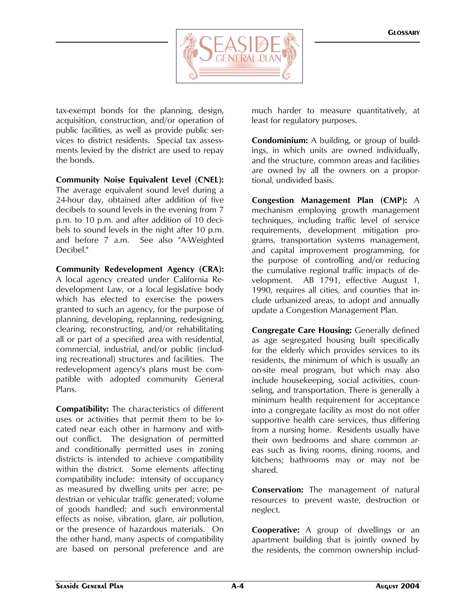

tax-exempt bonds for the planning, design, acquisition, construction, and/or operation of public facilities, as well as provide public services to district residents. Special tax assessments levied by the district are used to repay the bonds.

**Community Noise Equivalent Level (CNEL):** The average equivalent sound level during a 24-hour day, obtained after addition of five decibels to sound levels in the evening from 7 p.m. to 10 p.m. and after addition of 10 decibels to sound levels in the night after 10 p.m. and before 7 a.m. See also "A-Weighted Decibel."

**Community Redevelopment Agency (CRA):** A local agency created under California Redevelopment Law, or a local legislative body which has elected to exercise the powers granted to such an agency, for the purpose of planning, developing, replanning, redesigning, clearing, reconstructing, and/or rehabilitating all or part of a specified area with residential, commercial, industrial, and/or public (including recreational) structures and facilities. The redevelopment agency's plans must be compatible with adopted community General Plans.

**Compatibility:** The characteristics of different uses or activities that permit them to be located near each other in harmony and without conflict. The designation of permitted and conditionally permitted uses in zoning districts is intended to achieve compatibility within the district. Some elements affecting compatibility include: intensity of occupancy as measured by dwelling units per acre; pedestrian or vehicular traffic generated; volume of goods handled; and such environmental effects as noise, vibration, glare, air pollution, or the presence of hazardous materials. On the other hand, many aspects of compatibility are based on personal preference and are

much harder to measure quantitatively, at least for regulatory purposes.

**Condominium:** A building, or group of buildings, in which units are owned individually, and the structure, common areas and facilities are owned by all the owners on a proportional, undivided basis.

**Congestion Management Plan (CMP):** A mechanism employing growth management techniques, including traffic level of service requirements, development mitigation programs, transportation systems management, and capital improvement programming, for the purpose of controlling and/or reducing the cumulative regional traffic impacts of development. AB 1791, effective August 1, 1990, requires all cities, and counties that include urbanized areas, to adopt and annually update a Congestion Management Plan.

**Congregate Care Housing:** Generally defined as age segregated housing built specifically for the elderly which provides services to its residents, the minimum of which is usually an on-site meal program, but which may also include housekeeping, social activities, counseling, and transportation. There is generally a minimum health requirement for acceptance into a congregate facility as most do not offer supportive health care services, thus differing from a nursing home. Residents usually have their own bedrooms and share common areas such as living rooms, dining rooms, and kitchens; bathrooms may or may not be shared.

**Conservation:** The management of natural resources to prevent waste, destruction or neglect.

**Cooperative:** A group of dwellings or an apartment building that is jointly owned by the residents, the common ownership includ-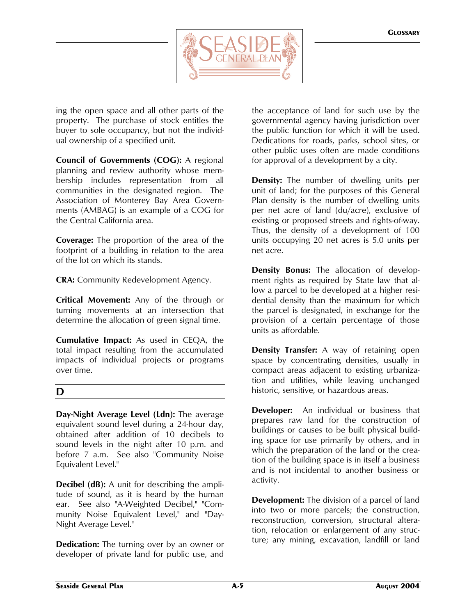

ing the open space and all other parts of the property. The purchase of stock entitles the buyer to sole occupancy, but not the individual ownership of a specified unit.

**Council of Governments (COG):** A regional planning and review authority whose membership includes representation from all communities in the designated region. The Association of Monterey Bay Area Governments (AMBAG) is an example of a COG for the Central California area.

**Coverage:** The proportion of the area of the footprint of a building in relation to the area of the lot on which its stands.

**CRA:** Community Redevelopment Agency.

**Critical Movement:** Any of the through or turning movements at an intersection that determine the allocation of green signal time.

**Cumulative Impact:** As used in CEQA, the total impact resulting from the accumulated impacts of individual projects or programs over time.

## **D**

**Day-Night Average Level (Ldn):** The average equivalent sound level during a 24-hour day, obtained after addition of 10 decibels to sound levels in the night after 10 p.m. and before 7 a.m. See also "Community Noise Equivalent Level."

**Decibel (dB):** A unit for describing the amplitude of sound, as it is heard by the human ear. See also "A-Weighted Decibel," "Community Noise Equivalent Level," and "Day-Night Average Level."

**Dedication:** The turning over by an owner or developer of private land for public use, and the acceptance of land for such use by the governmental agency having jurisdiction over the public function for which it will be used. Dedications for roads, parks, school sites, or other public uses often are made conditions for approval of a development by a city.

**Density:** The number of dwelling units per unit of land; for the purposes of this General Plan density is the number of dwelling units per net acre of land (du/acre), exclusive of existing or proposed streets and rights-of-way. Thus, the density of a development of 100 units occupying 20 net acres is 5.0 units per net acre.

**Density Bonus:** The allocation of development rights as required by State law that allow a parcel to be developed at a higher residential density than the maximum for which the parcel is designated, in exchange for the provision of a certain percentage of those units as affordable.

**Density Transfer:** A way of retaining open space by concentrating densities, usually in compact areas adjacent to existing urbanization and utilities, while leaving unchanged historic, sensitive, or hazardous areas.

**Developer:** An individual or business that prepares raw land for the construction of buildings or causes to be built physical building space for use primarily by others, and in which the preparation of the land or the creation of the building space is in itself a business and is not incidental to another business or activity.

**Development:** The division of a parcel of land into two or more parcels; the construction, reconstruction, conversion, structural alteration, relocation or enlargement of any structure; any mining, excavation, landfill or land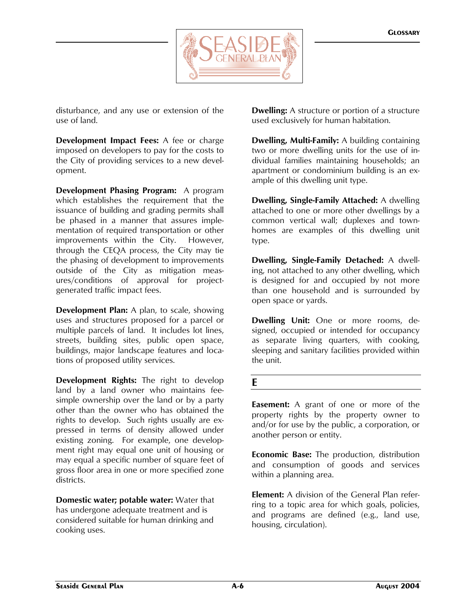

disturbance, and any use or extension of the use of land.

**Development Impact Fees:** A fee or charge imposed on developers to pay for the costs to the City of providing services to a new development.

**Development Phasing Program:** A program which establishes the requirement that the issuance of building and grading permits shall be phased in a manner that assures implementation of required transportation or other improvements within the City. However, through the CEQA process, the City may tie the phasing of development to improvements outside of the City as mitigation measures/conditions of approval for projectgenerated traffic impact fees.

**Development Plan:** A plan, to scale, showing uses and structures proposed for a parcel or multiple parcels of land. It includes lot lines, streets, building sites, public open space, buildings, major landscape features and locations of proposed utility services.

**Development Rights:** The right to develop land by a land owner who maintains feesimple ownership over the land or by a party other than the owner who has obtained the rights to develop. Such rights usually are expressed in terms of density allowed under existing zoning. For example, one development right may equal one unit of housing or may equal a specific number of square feet of gross floor area in one or more specified zone districts.

**Domestic water; potable water:** Water that has undergone adequate treatment and is considered suitable for human drinking and cooking uses.

**Dwelling:** A structure or portion of a structure used exclusively for human habitation.

**Dwelling, Multi-Family:** A building containing two or more dwelling units for the use of individual families maintaining households; an apartment or condominium building is an example of this dwelling unit type.

**Dwelling, Single-Family Attached:** A dwelling attached to one or more other dwellings by a common vertical wall; duplexes and townhomes are examples of this dwelling unit type.

**Dwelling, Single-Family Detached:** A dwelling, not attached to any other dwelling, which is designed for and occupied by not more than one household and is surrounded by open space or yards.

**Dwelling Unit:** One or more rooms, designed, occupied or intended for occupancy as separate living quarters, with cooking, sleeping and sanitary facilities provided within the unit.

### **E**

**Easement:** A grant of one or more of the property rights by the property owner to and/or for use by the public, a corporation, or another person or entity.

**Economic Base:** The production, distribution and consumption of goods and services within a planning area.

**Element:** A division of the General Plan referring to a topic area for which goals, policies, and programs are defined (e.g., land use, housing, circulation).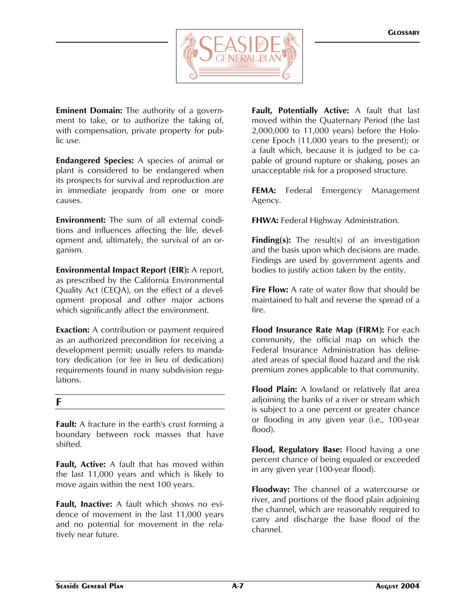

**Eminent Domain:** The authority of a government to take, or to authorize the taking of, with compensation, private property for public use.

**Endangered Species:** A species of animal or plant is considered to be endangered when its prospects for survival and reproduction are in immediate jeopardy from one or more causes.

**Environment:** The sum of all external conditions and influences affecting the life, development and, ultimately, the survival of an organism.

**Environmental Impact Report (EIR):** A report, as prescribed by the California Environmental Quality Act (CEQA), on the effect of a development proposal and other major actions which significantly affect the environment.

**Exaction:** A contribution or payment required as an authorized precondition for receiving a development permit; usually refers to mandatory dedication (or fee in lieu of dedication) requirements found in many subdivision regulations.

## **F**

**Fault:** A fracture in the earth's crust forming a boundary between rock masses that have shifted.

**Fault, Active:** A fault that has moved within the last 11,000 years and which is likely to move again within the next 100 years.

**Fault, Inactive:** A fault which shows no evidence of movement in the last 11,000 years and no potential for movement in the relatively near future.

**Fault, Potentially Active:** A fault that last moved within the Quaternary Period (the last 2,000,000 to 11,000 years) before the Holocene Epoch (11,000 years to the present); or a fault which, because it is judged to be capable of ground rupture or shaking, poses an unacceptable risk for a proposed structure.

**FEMA:** Federal Emergency Management Agency.

**FHWA:** Federal Highway Administration.

**Finding(s):** The result(s) of an investigation and the basis upon which decisions are made. Findings are used by government agents and bodies to justify action taken by the entity.

**Fire Flow:** A rate of water flow that should be maintained to halt and reverse the spread of a fire.

**Flood Insurance Rate Map (FIRM):** For each community, the official map on which the Federal Insurance Administration has delineated areas of special flood hazard and the risk premium zones applicable to that community.

**Flood Plain:** A lowland or relatively flat area adjoining the banks of a river or stream which is subject to a one percent or greater chance or flooding in any given year (i.e., 100-year flood).

**Flood, Regulatory Base:** Flood having a one percent chance of being equaled or exceeded in any given year (100-year flood).

**Floodway:** The channel of a watercourse or river, and portions of the flood plain adjoining the channel, which are reasonably required to carry and discharge the base flood of the channel.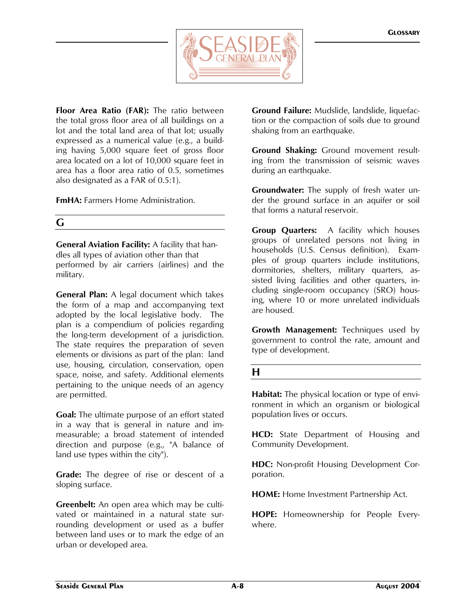

**Floor Area Ratio (FAR):** The ratio between the total gross floor area of all buildings on a lot and the total land area of that lot; usually expressed as a numerical value (e.g., a building having 5,000 square feet of gross floor area located on a lot of 10,000 square feet in area has a floor area ratio of 0.5, sometimes also designated as a FAR of 0.5:1).

**FmHA:** Farmers Home Administration.

## **G**

**General Aviation Facility:** A facility that handles all types of aviation other than that performed by air carriers (airlines) and the military.

**General Plan:** A legal document which takes the form of a map and accompanying text adopted by the local legislative body. The plan is a compendium of policies regarding the long-term development of a jurisdiction. The state requires the preparation of seven elements or divisions as part of the plan: land use, housing, circulation, conservation, open space, noise, and safety. Additional elements pertaining to the unique needs of an agency are permitted.

**Goal:** The ultimate purpose of an effort stated in a way that is general in nature and immeasurable; a broad statement of intended direction and purpose (e.g., "A balance of land use types within the city").

**Grade:** The degree of rise or descent of a sloping surface.

**Greenbelt:** An open area which may be cultivated or maintained in a natural state surrounding development or used as a buffer between land uses or to mark the edge of an urban or developed area.

**Ground Failure:** Mudslide, landslide, liquefaction or the compaction of soils due to ground shaking from an earthquake.

**Ground Shaking:** Ground movement resulting from the transmission of seismic waves during an earthquake.

**Groundwater:** The supply of fresh water under the ground surface in an aquifer or soil that forms a natural reservoir.

**Group Quarters:** A facility which houses groups of unrelated persons not living in households (U.S. Census definition). Examples of group quarters include institutions, dormitories, shelters, military quarters, assisted living facilities and other quarters, including single-room occupancy (SRO) housing, where 10 or more unrelated individuals are housed.

**Growth Management:** Techniques used by government to control the rate, amount and type of development.

## **H**

**Habitat:** The physical location or type of environment in which an organism or biological population lives or occurs.

**HCD:** State Department of Housing and Community Development.

**HDC:** Non-profit Housing Development Corporation.

**HOME:** Home Investment Partnership Act.

**HOPE:** Homeownership for People Everywhere.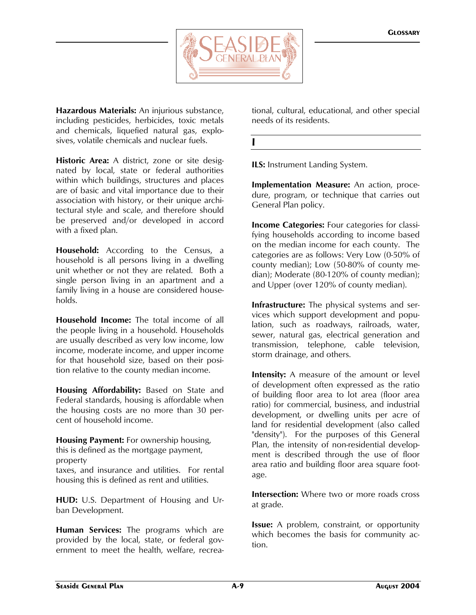

**Hazardous Materials:** An injurious substance, including pesticides, herbicides, toxic metals and chemicals, liquefied natural gas, explosives, volatile chemicals and nuclear fuels.

**Historic Area:** A district, zone or site designated by local, state or federal authorities within which buildings, structures and places are of basic and vital importance due to their association with history, or their unique architectural style and scale, and therefore should be preserved and/or developed in accord with a fixed plan.

**Household:** According to the Census, a household is all persons living in a dwelling unit whether or not they are related. Both a single person living in an apartment and a family living in a house are considered households.

**Household Income:** The total income of all the people living in a household. Households are usually described as very low income, low income, moderate income, and upper income for that household size, based on their position relative to the county median income.

**Housing Affordability:** Based on State and Federal standards, housing is affordable when the housing costs are no more than 30 percent of household income.

**Housing Payment:** For ownership housing, this is defined as the mortgage payment, property

taxes, and insurance and utilities. For rental housing this is defined as rent and utilities.

**HUD:** U.S. Department of Housing and Urban Development.

**Human Services:** The programs which are provided by the local, state, or federal government to meet the health, welfare, recreational, cultural, educational, and other special needs of its residents.

#### **I**

**ILS:** Instrument Landing System.

**Implementation Measure:** An action, procedure, program, or technique that carries out General Plan policy.

**Income Categories:** Four categories for classifying households according to income based on the median income for each county. The categories are as follows: Very Low (0-50% of county median); Low (50-80% of county median); Moderate (80-120% of county median); and Upper (over 120% of county median).

**Infrastructure:** The physical systems and services which support development and population, such as roadways, railroads, water, sewer, natural gas, electrical generation and transmission, telephone, cable television, storm drainage, and others.

**Intensity:** A measure of the amount or level of development often expressed as the ratio of building floor area to lot area (floor area ratio) for commercial, business, and industrial development, or dwelling units per acre of land for residential development (also called "density"). For the purposes of this General Plan, the intensity of non-residential development is described through the use of floor area ratio and building floor area square footage.

**Intersection:** Where two or more roads cross at grade.

**Issue:** A problem, constraint, or opportunity which becomes the basis for community action.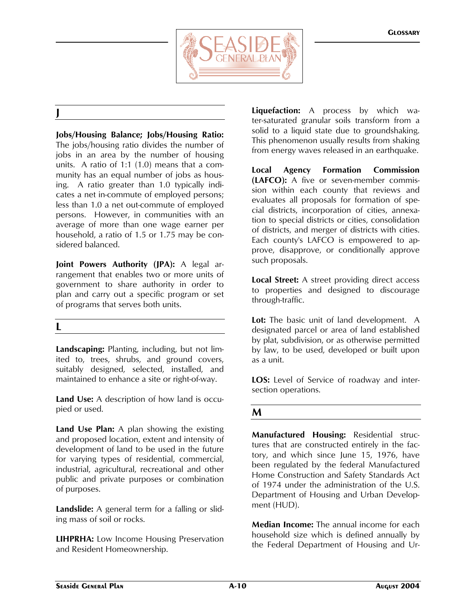

## **J**

**Jobs/Housing Balance; Jobs/Housing Ratio:** The jobs/housing ratio divides the number of jobs in an area by the number of housing units. A ratio of 1:1 (1.0) means that a community has an equal number of jobs as housing. A ratio greater than 1.0 typically indicates a net in-commute of employed persons; less than 1.0 a net out-commute of employed persons. However, in communities with an average of more than one wage earner per household, a ratio of 1.5 or 1.75 may be considered balanced.

**Joint Powers Authority (JPA):** A legal arrangement that enables two or more units of government to share authority in order to plan and carry out a specific program or set of programs that serves both units.

### **L**

**Landscaping:** Planting, including, but not limited to, trees, shrubs, and ground covers, suitably designed, selected, installed, and maintained to enhance a site or right-of-way.

**Land Use:** A description of how land is occupied or used.

**Land Use Plan:** A plan showing the existing and proposed location, extent and intensity of development of land to be used in the future for varying types of residential, commercial, industrial, agricultural, recreational and other public and private purposes or combination of purposes.

**Landslide:** A general term for a falling or sliding mass of soil or rocks.

**LIHPRHA:** Low Income Housing Preservation and Resident Homeownership.

**Liquefaction:** A process by which water-saturated granular soils transform from a solid to a liquid state due to groundshaking. This phenomenon usually results from shaking from energy waves released in an earthquake.

**Local Agency Formation Commission (LAFCO):** A five or seven-member commission within each county that reviews and evaluates all proposals for formation of special districts, incorporation of cities, annexation to special districts or cities, consolidation of districts, and merger of districts with cities. Each county's LAFCO is empowered to approve, disapprove, or conditionally approve such proposals.

**Local Street:** A street providing direct access to properties and designed to discourage through-traffic.

**Lot:** The basic unit of land development. A designated parcel or area of land established by plat, subdivision, or as otherwise permitted by law, to be used, developed or built upon as a unit.

**LOS:** Level of Service of roadway and intersection operations.

### **M**

**Manufactured Housing:** Residential structures that are constructed entirely in the factory, and which since June 15, 1976, have been regulated by the federal Manufactured Home Construction and Safety Standards Act of 1974 under the administration of the U.S. Department of Housing and Urban Development (HUD).

**Median Income:** The annual income for each household size which is defined annually by the Federal Department of Housing and Ur-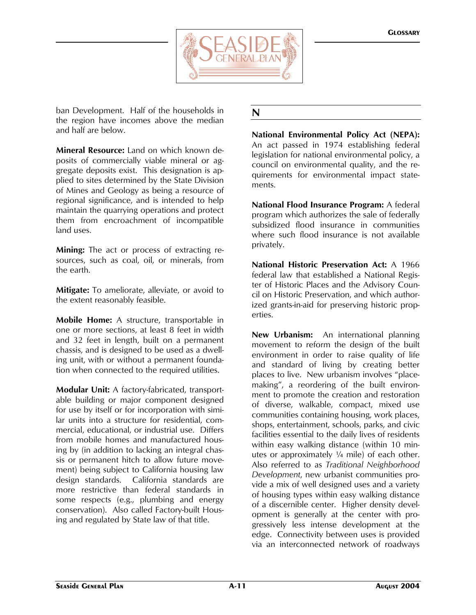

ban Development. Half of the households in the region have incomes above the median and half are below.

**Mineral Resource:** Land on which known deposits of commercially viable mineral or aggregate deposits exist. This designation is applied to sites determined by the State Division of Mines and Geology as being a resource of regional significance, and is intended to help maintain the quarrying operations and protect them from encroachment of incompatible land uses.

**Mining:** The act or process of extracting resources, such as coal, oil, or minerals, from the earth.

**Mitigate:** To ameliorate, alleviate, or avoid to the extent reasonably feasible.

**Mobile Home:** A structure, transportable in one or more sections, at least 8 feet in width and 32 feet in length, built on a permanent chassis, and is designed to be used as a dwelling unit, with or without a permanent foundation when connected to the required utilities.

**Modular Unit:** A factory-fabricated, transportable building or major component designed for use by itself or for incorporation with similar units into a structure for residential, commercial, educational, or industrial use. Differs from mobile homes and manufactured housing by (in addition to lacking an integral chassis or permanent hitch to allow future movement) being subject to California housing law design standards. California standards are more restrictive than federal standards in some respects (e.g., plumbing and energy conservation). Also called Factory-built Housing and regulated by State law of that title.

# **N**

**National Environmental Policy Act (NEPA):** An act passed in 1974 establishing federal legislation for national environmental policy, a council on environmental quality, and the requirements for environmental impact statements.

**National Flood Insurance Program:** A federal program which authorizes the sale of federally subsidized flood insurance in communities where such flood insurance is not available privately.

**National Historic Preservation Act:** A 1966 federal law that established a National Register of Historic Places and the Advisory Council on Historic Preservation, and which authorized grants-in-aid for preserving historic properties.

**New Urbanism:** An international planning movement to reform the design of the built environment in order to raise quality of life and standard of living by creating better places to live. New urbanism involves "placemaking", a reordering of the built environment to promote the creation and restoration of diverse, walkable, compact, mixed use communities containing housing, work places, shops, entertainment, schools, parks, and civic facilities essential to the daily lives of residents within easy walking distance (within 10 minutes or approximately  $\frac{1}{4}$  mile) of each other. Also referred to as *Traditional Neighborhood Development*, new urbanist communities provide a mix of well designed uses and a variety of housing types within easy walking distance of a discernible center. Higher density development is generally at the center with progressively less intense development at the edge. Connectivity between uses is provided via an interconnected network of roadways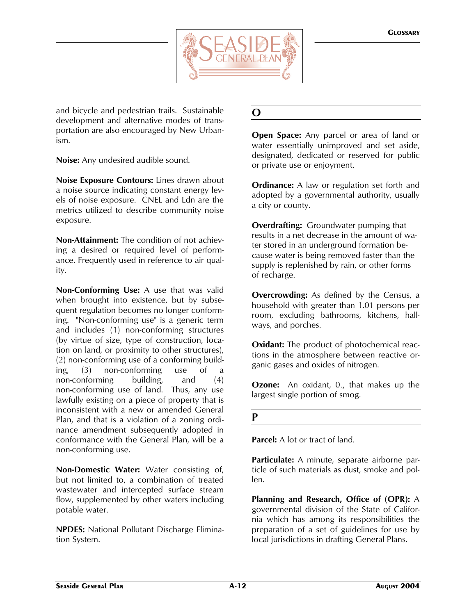

and bicycle and pedestrian trails. Sustainable development and alternative modes of transportation are also encouraged by New Urbanism.

**Noise:** Any undesired audible sound.

**Noise Exposure Contours:** Lines drawn about a noise source indicating constant energy levels of noise exposure. CNEL and Ldn are the metrics utilized to describe community noise exposure.

**Non-Attainment:** The condition of not achieving a desired or required level of performance. Frequently used in reference to air quality.

**Non-Conforming Use:** A use that was valid when brought into existence, but by subsequent regulation becomes no longer conforming. "Non-conforming use" is a generic term and includes (1) non-conforming structures (by virtue of size, type of construction, location on land, or proximity to other structures), (2) non-conforming use of a conforming building, (3) non-conforming use of a non-conforming building, and (4) non-conforming use of land. Thus, any use lawfully existing on a piece of property that is inconsistent with a new or amended General Plan, and that is a violation of a zoning ordinance amendment subsequently adopted in conformance with the General Plan, will be a non-conforming use.

**Non-Domestic Water:** Water consisting of, but not limited to, a combination of treated wastewater and intercepted surface stream flow, supplemented by other waters including potable water.

**NPDES:** National Pollutant Discharge Elimination System.

# **O**

**Open Space:** Any parcel or area of land or water essentially unimproved and set aside, designated, dedicated or reserved for public or private use or enjoyment.

**Ordinance:** A law or regulation set forth and adopted by a governmental authority, usually a city or county.

**Overdrafting:** Groundwater pumping that results in a net decrease in the amount of water stored in an underground formation because water is being removed faster than the supply is replenished by rain, or other forms of recharge.

**Overcrowding:** As defined by the Census, a household with greater than 1.01 persons per room, excluding bathrooms, kitchens, hallways, and porches.

**Oxidant:** The product of photochemical reactions in the atmosphere between reactive organic gases and oxides of nitrogen.

**Ozone:** An oxidant, 0<sub>3</sub>, that makes up the largest single portion of smog.

### **P**

**Parcel:** A lot or tract of land.

**Particulate:** A minute, separate airborne particle of such materials as dust, smoke and pollen.

**Planning and Research, Office of (OPR):** A governmental division of the State of California which has among its responsibilities the preparation of a set of guidelines for use by local jurisdictions in drafting General Plans.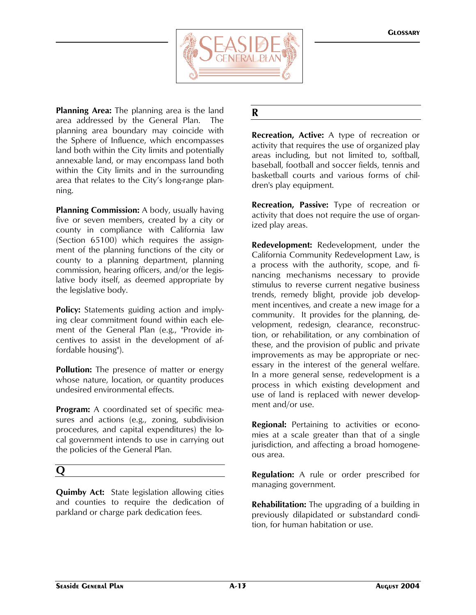

**Planning Area:** The planning area is the land area addressed by the General Plan. The planning area boundary may coincide with the Sphere of Influence, which encompasses land both within the City limits and potentially annexable land, or may encompass land both within the City limits and in the surrounding area that relates to the City's long-range planning.

**Planning Commission:** A body, usually having five or seven members, created by a city or county in compliance with California law (Section 65100) which requires the assignment of the planning functions of the city or county to a planning department, planning commission, hearing officers, and/or the legislative body itself, as deemed appropriate by the legislative body.

**Policy:** Statements guiding action and implying clear commitment found within each element of the General Plan (e.g., "Provide incentives to assist in the development of affordable housing").

**Pollution:** The presence of matter or energy whose nature, location, or quantity produces undesired environmental effects.

**Program:** A coordinated set of specific measures and actions (e.g., zoning, subdivision procedures, and capital expenditures) the local government intends to use in carrying out the policies of the General Plan.

# **Q**

**Quimby Act:** State legislation allowing cities and counties to require the dedication of parkland or charge park dedication fees.

# **R**

**Recreation, Active:** A type of recreation or activity that requires the use of organized play areas including, but not limited to, softball, baseball, football and soccer fields, tennis and basketball courts and various forms of children's play equipment.

**Recreation, Passive:** Type of recreation or activity that does not require the use of organized play areas.

**Redevelopment:** Redevelopment, under the California Community Redevelopment Law, is a process with the authority, scope, and financing mechanisms necessary to provide stimulus to reverse current negative business trends, remedy blight, provide job development incentives, and create a new image for a community. It provides for the planning, development, redesign, clearance, reconstruction, or rehabilitation, or any combination of these, and the provision of public and private improvements as may be appropriate or necessary in the interest of the general welfare. In a more general sense, redevelopment is a process in which existing development and use of land is replaced with newer development and/or use.

**Regional:** Pertaining to activities or economies at a scale greater than that of a single jurisdiction, and affecting a broad homogeneous area.

**Regulation:** A rule or order prescribed for managing government.

**Rehabilitation:** The upgrading of a building in previously dilapidated or substandard condition, for human habitation or use.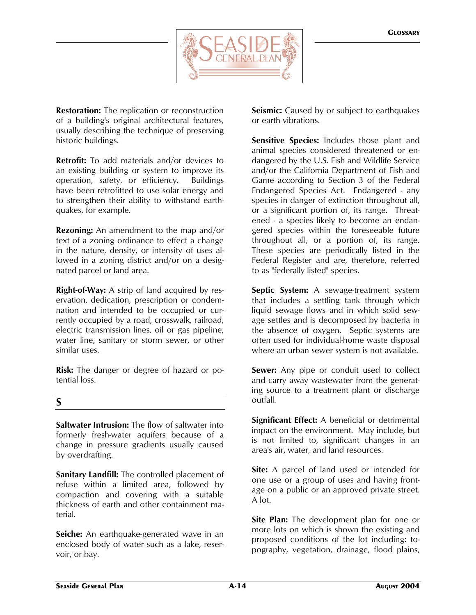

**Restoration:** The replication or reconstruction of a building's original architectural features, usually describing the technique of preserving historic buildings.

**Retrofit:** To add materials and/or devices to an existing building or system to improve its operation, safety, or efficiency. Buildings have been retrofitted to use solar energy and to strengthen their ability to withstand earthquakes, for example.

**Rezoning:** An amendment to the map and/or text of a zoning ordinance to effect a change in the nature, density, or intensity of uses allowed in a zoning district and/or on a designated parcel or land area.

**Right-of-Way:** A strip of land acquired by reservation, dedication, prescription or condemnation and intended to be occupied or currently occupied by a road, crosswalk, railroad, electric transmission lines, oil or gas pipeline, water line, sanitary or storm sewer, or other similar uses.

**Risk:** The danger or degree of hazard or potential loss.

## **S**

**Saltwater Intrusion:** The flow of saltwater into formerly fresh-water aquifers because of a change in pressure gradients usually caused by overdrafting.

**Sanitary Landfill:** The controlled placement of refuse within a limited area, followed by compaction and covering with a suitable thickness of earth and other containment material.

**Seiche:** An earthquake-generated wave in an enclosed body of water such as a lake, reservoir, or bay.

**Seismic:** Caused by or subject to earthquakes or earth vibrations.

**Sensitive Species:** Includes those plant and animal species considered threatened or endangered by the U.S. Fish and Wildlife Service and/or the California Department of Fish and Game according to Section 3 of the Federal Endangered Species Act. Endangered - any species in danger of extinction throughout all, or a significant portion of, its range. Threatened - a species likely to become an endangered species within the foreseeable future throughout all, or a portion of, its range. These species are periodically listed in the Federal Register and are, therefore, referred to as "federally listed" species.

**Septic System:** A sewage-treatment system that includes a settling tank through which liquid sewage flows and in which solid sewage settles and is decomposed by bacteria in the absence of oxygen. Septic systems are often used for individual-home waste disposal where an urban sewer system is not available.

**Sewer:** Any pipe or conduit used to collect and carry away wastewater from the generating source to a treatment plant or discharge outfall.

**Significant Effect:** A beneficial or detrimental impact on the environment. May include, but is not limited to, significant changes in an area's air, water, and land resources.

**Site:** A parcel of land used or intended for one use or a group of uses and having frontage on a public or an approved private street. A lot.

**Site Plan:** The development plan for one or more lots on which is shown the existing and proposed conditions of the lot including: topography, vegetation, drainage, flood plains,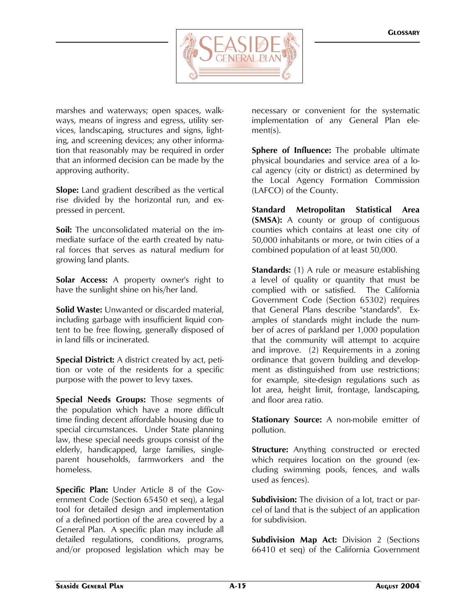

marshes and waterways; open spaces, walkways, means of ingress and egress, utility services, landscaping, structures and signs, lighting, and screening devices; any other information that reasonably may be required in order that an informed decision can be made by the approving authority.

**Slope:** Land gradient described as the vertical rise divided by the horizontal run, and expressed in percent.

**Soil:** The unconsolidated material on the immediate surface of the earth created by natural forces that serves as natural medium for growing land plants.

**Solar Access:** A property owner's right to have the sunlight shine on his/her land.

**Solid Waste:** Unwanted or discarded material, including garbage with insufficient liquid content to be free flowing, generally disposed of in land fills or incinerated.

**Special District:** A district created by act, petition or vote of the residents for a specific purpose with the power to levy taxes.

**Special Needs Groups:** Those segments of the population which have a more difficult time finding decent affordable housing due to special circumstances. Under State planning law, these special needs groups consist of the elderly, handicapped, large families, singleparent households, farmworkers and the homeless.

**Specific Plan:** Under Article 8 of the Government Code (Section 65450 et seq), a legal tool for detailed design and implementation of a defined portion of the area covered by a General Plan. A specific plan may include all detailed regulations, conditions, programs, and/or proposed legislation which may be

necessary or convenient for the systematic implementation of any General Plan element(s).

**Sphere of Influence:** The probable ultimate physical boundaries and service area of a local agency (city or district) as determined by the Local Agency Formation Commission (LAFCO) of the County.

**Standard Metropolitan Statistical Area (SMSA):** A county or group of contiguous counties which contains at least one city of 50,000 inhabitants or more, or twin cities of a combined population of at least 50,000.

**Standards:** (1) A rule or measure establishing a level of quality or quantity that must be complied with or satisfied. The California Government Code (Section 65302) requires that General Plans describe "standards". Examples of standards might include the number of acres of parkland per 1,000 population that the community will attempt to acquire and improve. (2) Requirements in a zoning ordinance that govern building and development as distinguished from use restrictions; for example, site-design regulations such as lot area, height limit, frontage, landscaping, and floor area ratio.

**Stationary Source:** A non-mobile emitter of pollution.

**Structure:** Anything constructed or erected which requires location on the ground (excluding swimming pools, fences, and walls used as fences).

**Subdivision:** The division of a lot, tract or parcel of land that is the subject of an application for subdivision.

**Subdivision Map Act:** Division 2 (Sections 66410 et seq) of the California Government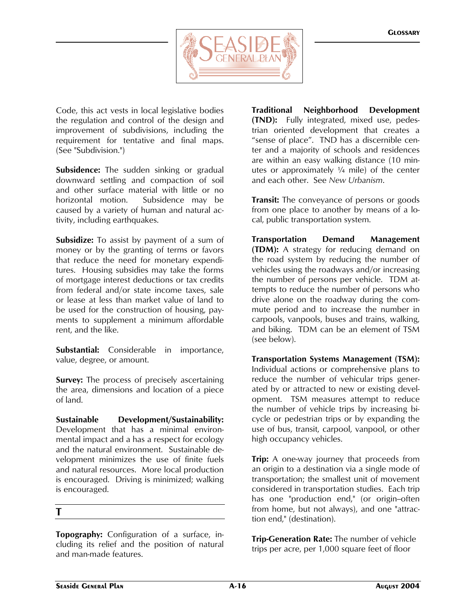

Code, this act vests in local legislative bodies the regulation and control of the design and improvement of subdivisions, including the requirement for tentative and final maps. (See "Subdivision.")

**Subsidence:** The sudden sinking or gradual downward settling and compaction of soil and other surface material with little or no horizontal motion. Subsidence may be caused by a variety of human and natural activity, including earthquakes.

**Subsidize:** To assist by payment of a sum of money or by the granting of terms or favors that reduce the need for monetary expenditures. Housing subsidies may take the forms of mortgage interest deductions or tax credits from federal and/or state income taxes, sale or lease at less than market value of land to be used for the construction of housing, payments to supplement a minimum affordable rent, and the like.

**Substantial:** Considerable in importance, value, degree, or amount.

**Survey:** The process of precisely ascertaining the area, dimensions and location of a piece of land.

**Sustainable Development/Sustainability:**  Development that has a minimal environmental impact and a has a respect for ecology and the natural environment. Sustainable development minimizes the use of finite fuels and natural resources. More local production is encouraged. Driving is minimized; walking is encouraged.

### **T**

**Topography:** Configuration of a surface, including its relief and the position of natural and man-made features.

**Traditional Neighborhood Development (TND):** Fully integrated, mixed use, pedestrian oriented development that creates a "sense of place". TND has a discernible center and a majority of schools and residences are within an easy walking distance (10 minutes or approximately  $\frac{1}{4}$  mile) of the center and each other. See *New Urbanism*.

**Transit:** The conveyance of persons or goods from one place to another by means of a local, public transportation system.

**Transportation Demand Management (TDM):** A strategy for reducing demand on the road system by reducing the number of vehicles using the roadways and/or increasing the number of persons per vehicle. TDM attempts to reduce the number of persons who drive alone on the roadway during the commute period and to increase the number in carpools, vanpools, buses and trains, walking, and biking. TDM can be an element of TSM (see below).

**Transportation Systems Management (TSM):** Individual actions or comprehensive plans to reduce the number of vehicular trips generated by or attracted to new or existing development. TSM measures attempt to reduce the number of vehicle trips by increasing bicycle or pedestrian trips or by expanding the use of bus, transit, carpool, vanpool, or other high occupancy vehicles.

**Trip:** A one-way journey that proceeds from an origin to a destination via a single mode of transportation; the smallest unit of movement considered in transportation studies. Each trip has one "production end," (or origin-often from home, but not always), and one "attraction end," (destination).

**Trip-Generation Rate:** The number of vehicle trips per acre, per 1,000 square feet of floor